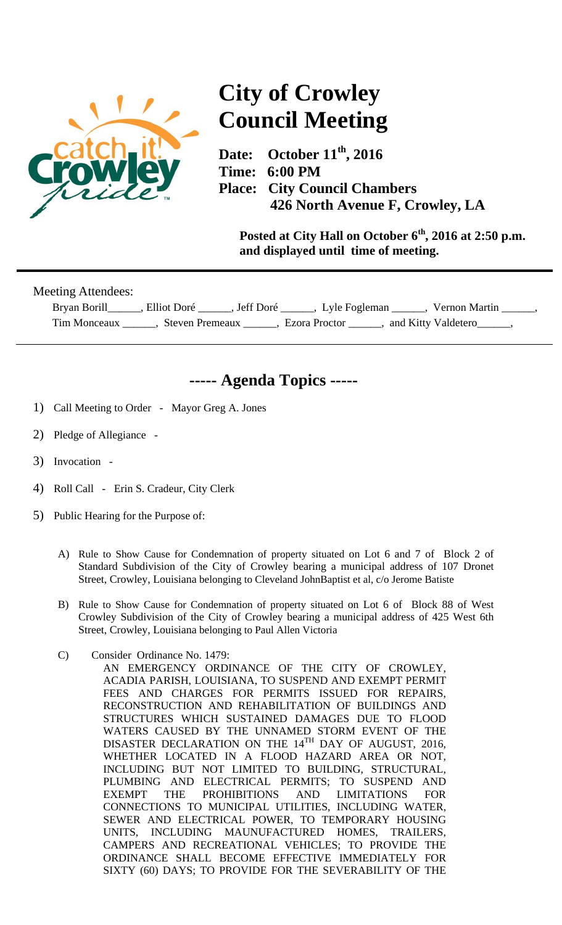

## **City of Crowley Council Meeting**

Date: October 11<sup>th</sup>, 2016 **Time: 6:00 PM Place: City Council Chambers 426 North Avenue F, Crowley, LA** 

**Posted at City Hall on October 6th, 2016 at 2:50 p.m. and displayed until time of meeting.** 

| Meeting Attendees: |                        |             |               |                     |
|--------------------|------------------------|-------------|---------------|---------------------|
| Bryan Borill       | Elliot Doré            | . Jeff Doré | Lyle Fogleman | Vernon Martin       |
| Tim Monceaux       | <b>Steven Premeaux</b> |             | Ezora Proctor | and Kitty Valdetero |

## **----- Agenda Topics -----**

- 1) Call Meeting to Order Mayor Greg A. Jones
- 2) Pledge of Allegiance -
- 3) Invocation -
- 4) Roll Call Erin S. Cradeur, City Clerk
- 5) Public Hearing for the Purpose of:
	- A) Rule to Show Cause for Condemnation of property situated on Lot 6 and 7 of Block 2 of Standard Subdivision of the City of Crowley bearing a municipal address of 107 Dronet Street, Crowley, Louisiana belonging to Cleveland JohnBaptist et al, c/o Jerome Batiste
	- B) Rule to Show Cause for Condemnation of property situated on Lot 6 of Block 88 of West Crowley Subdivision of the City of Crowley bearing a municipal address of 425 West 6th Street, Crowley, Louisiana belonging to Paul Allen Victoria
	- C) Consider Ordinance No. 1479:
		- AN EMERGENCY ORDINANCE OF THE CITY OF CROWLEY, ACADIA PARISH, LOUISIANA, TO SUSPEND AND EXEMPT PERMIT FEES AND CHARGES FOR PERMITS ISSUED FOR REPAIRS, RECONSTRUCTION AND REHABILITATION OF BUILDINGS AND STRUCTURES WHICH SUSTAINED DAMAGES DUE TO FLOOD WATERS CAUSED BY THE UNNAMED STORM EVENT OF THE DISASTER DECLARATION ON THE 14TH DAY OF AUGUST, 2016, WHETHER LOCATED IN A FLOOD HAZARD AREA OR NOT, INCLUDING BUT NOT LIMITED TO BUILDING, STRUCTURAL, PLUMBING AND ELECTRICAL PERMITS; TO SUSPEND AND EXEMPT THE PROHIBITIONS AND LIMITATIONS FOR CONNECTIONS TO MUNICIPAL UTILITIES, INCLUDING WATER, SEWER AND ELECTRICAL POWER, TO TEMPORARY HOUSING UNITS, INCLUDING MAUNUFACTURED HOMES, TRAILERS, CAMPERS AND RECREATIONAL VEHICLES; TO PROVIDE THE ORDINANCE SHALL BECOME EFFECTIVE IMMEDIATELY FOR SIXTY (60) DAYS; TO PROVIDE FOR THE SEVERABILITY OF THE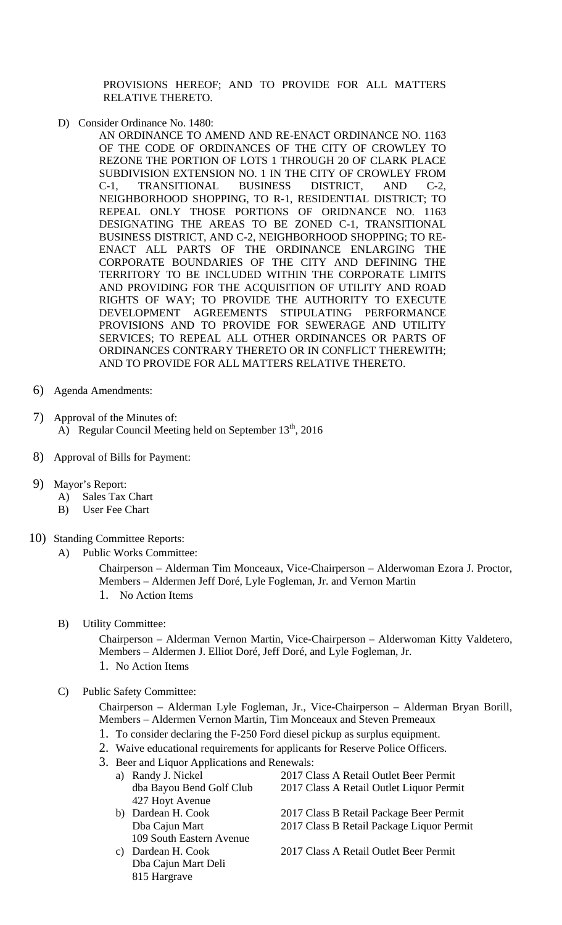PROVISIONS HEREOF; AND TO PROVIDE FOR ALL MATTERS RELATIVE THERETO.

- D) Consider Ordinance No. 1480:
	- AN ORDINANCE TO AMEND AND RE-ENACT ORDINANCE NO. 1163 OF THE CODE OF ORDINANCES OF THE CITY OF CROWLEY TO REZONE THE PORTION OF LOTS 1 THROUGH 20 OF CLARK PLACE SUBDIVISION EXTENSION NO. 1 IN THE CITY OF CROWLEY FROM C-1, TRANSITIONAL BUSINESS DISTRICT, AND C-2, NEIGHBORHOOD SHOPPING, TO R-1, RESIDENTIAL DISTRICT; TO REPEAL ONLY THOSE PORTIONS OF ORIDNANCE NO. 1163 DESIGNATING THE AREAS TO BE ZONED C-1, TRANSITIONAL BUSINESS DISTRICT, AND C-2, NEIGHBORHOOD SHOPPING; TO RE-ENACT ALL PARTS OF THE ORDINANCE ENLARGING THE CORPORATE BOUNDARIES OF THE CITY AND DEFINING THE TERRITORY TO BE INCLUDED WITHIN THE CORPORATE LIMITS AND PROVIDING FOR THE ACQUISITION OF UTILITY AND ROAD RIGHTS OF WAY; TO PROVIDE THE AUTHORITY TO EXECUTE DEVELOPMENT AGREEMENTS STIPULATING PERFORMANCE PROVISIONS AND TO PROVIDE FOR SEWERAGE AND UTILITY SERVICES; TO REPEAL ALL OTHER ORDINANCES OR PARTS OF ORDINANCES CONTRARY THERETO OR IN CONFLICT THEREWITH; AND TO PROVIDE FOR ALL MATTERS RELATIVE THERETO.
- 6) Agenda Amendments:
- 7) Approval of the Minutes of: A) Regular Council Meeting held on September  $13<sup>th</sup>$ , 2016
- 8) Approval of Bills for Payment:
- 9) Mayor's Report:
	- A) Sales Tax Chart
	- B) User Fee Chart
- 10) Standing Committee Reports:
	- A) Public Works Committee:

Chairperson – Alderman Tim Monceaux, Vice-Chairperson – Alderwoman Ezora J. Proctor, Members – Aldermen Jeff Doré, Lyle Fogleman, Jr. and Vernon Martin 1. No Action Items

- 
- B) Utility Committee:

Chairperson – Alderman Vernon Martin, Vice-Chairperson – Alderwoman Kitty Valdetero, Members – Aldermen J. Elliot Doré, Jeff Doré, and Lyle Fogleman, Jr.

- 1. No Action Items
- C) Public Safety Committee:

Chairperson – Alderman Lyle Fogleman, Jr., Vice-Chairperson – Alderman Bryan Borill, Members – Aldermen Vernon Martin, Tim Monceaux and Steven Premeaux

- 1. To consider declaring the F-250 Ford diesel pickup as surplus equipment.
- 2. Waive educational requirements for applicants for Reserve Police Officers.
- 3. Beer and Liquor Applications and Renewals:
	- a) Randy J. Nickel 2017 Class A Retail Outlet Beer Permit dba Bayou Bend Golf Club 2017 Class A Retail Outlet Liquor Permit 427 Hoyt Avenue b) Dardean H. Cook 2017 Class B Retail Package Beer Permit Dba Cajun Mart 2017 Class B Retail Package Liquor Permit 109 South Eastern Avenue
	- Dba Cajun Mart Deli 815 Hargrave

c) Dardean H. Cook 2017 Class A Retail Outlet Beer Permit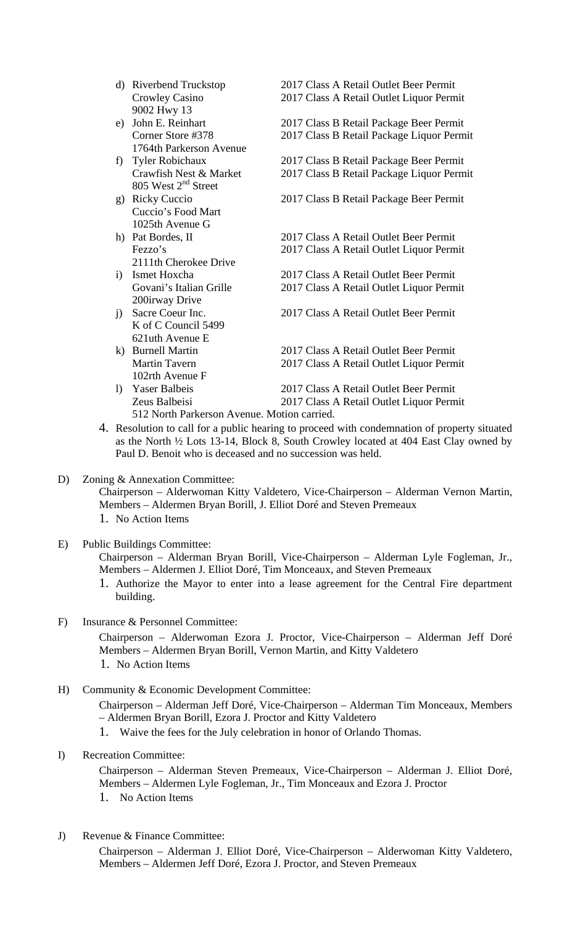- d) Riverbend Truckstop 2017 Class A Retail Outlet Beer Permit Crowley Casino 2017 Class A Retail Outlet Liquor Permit 9002 Hwy 13
- e) John E. Reinhart 2017 Class B Retail Package Beer Permit Corner Store #378 2017 Class B Retail Package Liquor Permit 1764th Parkerson Avenue
- f) Tyler Robichaux 2017 Class B Retail Package Beer Permit Crawfish Nest & Market 2017 Class B Retail Package Liquor Permit 805 West 2nd Street
- g) Ricky Cuccio 2017 Class B Retail Package Beer Permit Cuccio's Food Mart 1025th Avenue G
- h) Pat Bordes, II 2017 Class A Retail Outlet Beer Permit Fezzo's 2017 Class A Retail Outlet Liquor Permit 2111th Cherokee Drive
- i) Ismet Hoxcha 2017 Class A Retail Outlet Beer Permit Govani's Italian Grille 2017 Class A Retail Outlet Liquor Permit 200irway Drive
- j) Sacre Coeur Inc. 2017 Class A Retail Outlet Beer Permit K of C Council 5499 621uth Avenue E
- k) Burnell Martin 2017 Class A Retail Outlet Beer Permit Martin Tavern 2017 Class A Retail Outlet Liquor Permit 102rth Avenue F
- l) Yaser Balbeis 2017 Class A Retail Outlet Beer Permit Zeus Balbeisi 2017 Class A Retail Outlet Liquor Permit 512 North Parkerson Avenue. Motion carried.
- 4. Resolution to call for a public hearing to proceed with condemnation of property situated as the North ½ Lots 13-14, Block 8, South Crowley located at 404 East Clay owned by Paul D. Benoit who is deceased and no succession was held.
- D) Zoning & Annexation Committee:

Chairperson – Alderwoman Kitty Valdetero, Vice-Chairperson – Alderman Vernon Martin, Members – Aldermen Bryan Borill, J. Elliot Doré and Steven Premeaux

- 1. No Action Items
- E) Public Buildings Committee:

Chairperson – Alderman Bryan Borill, Vice-Chairperson – Alderman Lyle Fogleman, Jr., Members – Aldermen J. Elliot Doré, Tim Monceaux, and Steven Premeaux

- 1. Authorize the Mayor to enter into a lease agreement for the Central Fire department building.
- F) Insurance & Personnel Committee:

Chairperson – Alderwoman Ezora J. Proctor, Vice-Chairperson – Alderman Jeff Doré Members – Aldermen Bryan Borill, Vernon Martin, and Kitty Valdetero

- 1. No Action Items
- H) Community & Economic Development Committee: Chairperson – Alderman Jeff Doré, Vice-Chairperson – Alderman Tim Monceaux, Members – Aldermen Bryan Borill, Ezora J. Proctor and Kitty Valdetero 1. Waive the fees for the July celebration in honor of Orlando Thomas.
- I) Recreation Committee:

Chairperson – Alderman Steven Premeaux, Vice-Chairperson – Alderman J. Elliot Doré, Members – Aldermen Lyle Fogleman, Jr., Tim Monceaux and Ezora J. Proctor

- 1. No Action Items
- J) Revenue & Finance Committee:

Chairperson – Alderman J. Elliot Doré, Vice-Chairperson – Alderwoman Kitty Valdetero, Members – Aldermen Jeff Doré, Ezora J. Proctor, and Steven Premeaux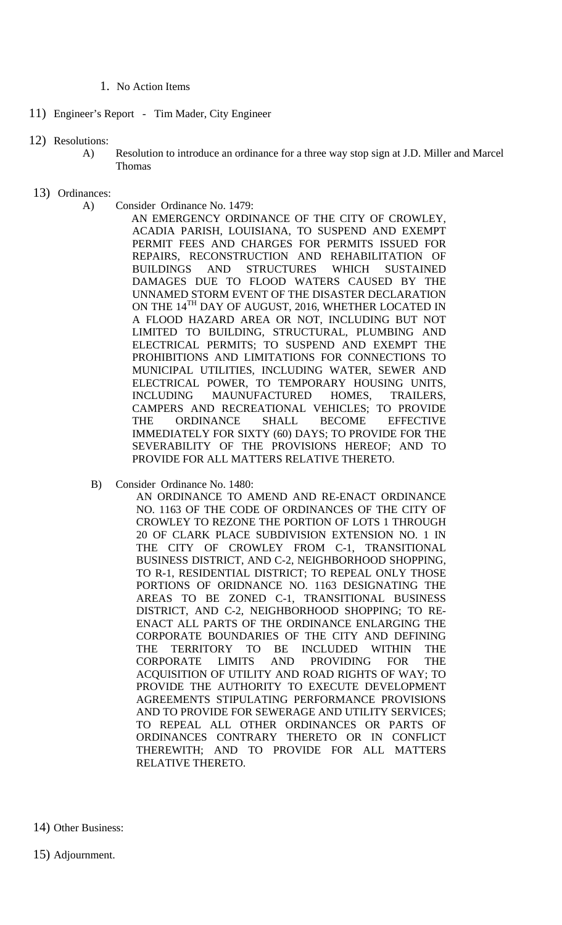## 1. No Action Items

- 11) Engineer's Report Tim Mader, City Engineer
- 12) Resolutions:
	- A) Resolution to introduce an ordinance for a three way stop sign at J.D. Miller and Marcel Thomas
- 13) Ordinances:
	- A) Consider Ordinance No. 1479:

AN EMERGENCY ORDINANCE OF THE CITY OF CROWLEY, ACADIA PARISH, LOUISIANA, TO SUSPEND AND EXEMPT PERMIT FEES AND CHARGES FOR PERMITS ISSUED FOR REPAIRS, RECONSTRUCTION AND REHABILITATION OF BUILDINGS AND STRUCTURES WHICH SUSTAINED DAMAGES DUE TO FLOOD WATERS CAUSED BY THE UNNAMED STORM EVENT OF THE DISASTER DECLARATION ON THE 14<sup>TH</sup> DAY OF AUGUST, 2016, WHETHER LOCATED IN A FLOOD HAZARD AREA OR NOT, INCLUDING BUT NOT LIMITED TO BUILDING, STRUCTURAL, PLUMBING AND ELECTRICAL PERMITS; TO SUSPEND AND EXEMPT THE PROHIBITIONS AND LIMITATIONS FOR CONNECTIONS TO MUNICIPAL UTILITIES, INCLUDING WATER, SEWER AND ELECTRICAL POWER, TO TEMPORARY HOUSING UNITS, INCLUDING MAUNUFACTURED HOMES, TRAILERS, CAMPERS AND RECREATIONAL VEHICLES; TO PROVIDE THE ORDINANCE SHALL BECOME EFFECTIVE IMMEDIATELY FOR SIXTY (60) DAYS; TO PROVIDE FOR THE SEVERABILITY OF THE PROVISIONS HEREOF; AND TO PROVIDE FOR ALL MATTERS RELATIVE THERETO.

B) Consider Ordinance No. 1480:

AN ORDINANCE TO AMEND AND RE-ENACT ORDINANCE NO. 1163 OF THE CODE OF ORDINANCES OF THE CITY OF CROWLEY TO REZONE THE PORTION OF LOTS 1 THROUGH 20 OF CLARK PLACE SUBDIVISION EXTENSION NO. 1 IN THE CITY OF CROWLEY FROM C-1, TRANSITIONAL BUSINESS DISTRICT, AND C-2, NEIGHBORHOOD SHOPPING, TO R-1, RESIDENTIAL DISTRICT; TO REPEAL ONLY THOSE PORTIONS OF ORIDNANCE NO. 1163 DESIGNATING THE AREAS TO BE ZONED C-1, TRANSITIONAL BUSINESS DISTRICT, AND C-2, NEIGHBORHOOD SHOPPING; TO RE-ENACT ALL PARTS OF THE ORDINANCE ENLARGING THE CORPORATE BOUNDARIES OF THE CITY AND DEFINING THE TERRITORY TO BE INCLUDED WITHIN THE CORPORATE LIMITS AND PROVIDING FOR THE ACQUISITION OF UTILITY AND ROAD RIGHTS OF WAY; TO PROVIDE THE AUTHORITY TO EXECUTE DEVELOPMENT AGREEMENTS STIPULATING PERFORMANCE PROVISIONS AND TO PROVIDE FOR SEWERAGE AND UTILITY SERVICES; TO REPEAL ALL OTHER ORDINANCES OR PARTS OF ORDINANCES CONTRARY THERETO OR IN CONFLICT THEREWITH; AND TO PROVIDE FOR ALL MATTERS RELATIVE THERETO.

14) Other Business: